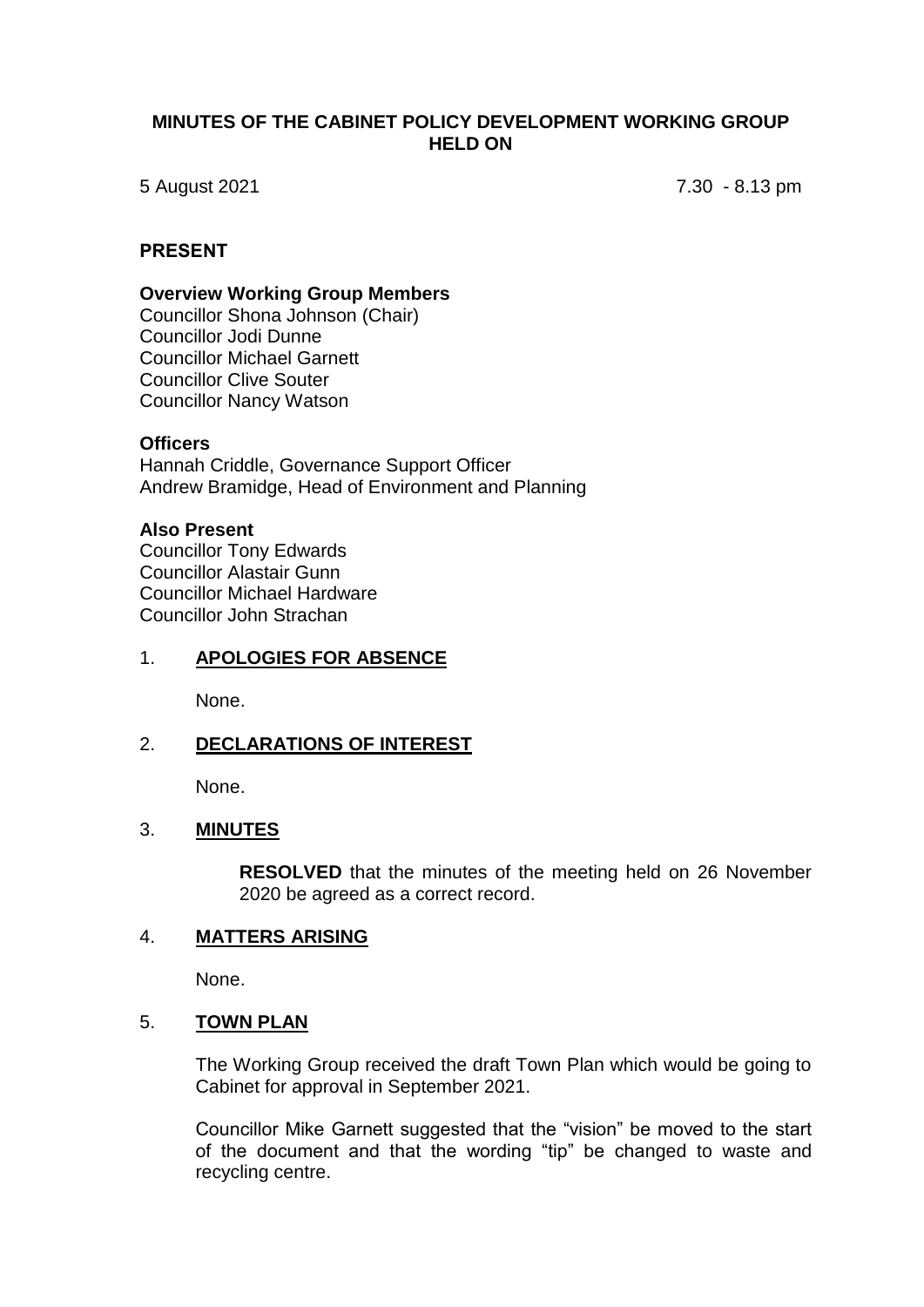# **MINUTES OF THE CABINET POLICY DEVELOPMENT WORKING GROUP HELD ON**

5 August 2021 7.30 - 8.13 pm

#### **PRESENT**

#### **Overview Working Group Members**

Councillor Shona Johnson (Chair) Councillor Jodi Dunne Councillor Michael Garnett Councillor Clive Souter Councillor Nancy Watson

#### **Officers**

Hannah Criddle, Governance Support Officer Andrew Bramidge, Head of Environment and Planning

#### **Also Present**

Councillor Tony Edwards Councillor Alastair Gunn Councillor Michael Hardware Councillor John Strachan

# 1. **APOLOGIES FOR ABSENCE**

None.

# 2. **DECLARATIONS OF INTEREST**

None.

# 3. **MINUTES**

**RESOLVED** that the minutes of the meeting held on 26 November 2020 be agreed as a correct record.

# 4. **MATTERS ARISING**

None.

#### 5. **TOWN PLAN**

The Working Group received the draft Town Plan which would be going to Cabinet for approval in September 2021.

Councillor Mike Garnett suggested that the "vision" be moved to the start of the document and that the wording "tip" be changed to waste and recycling centre.